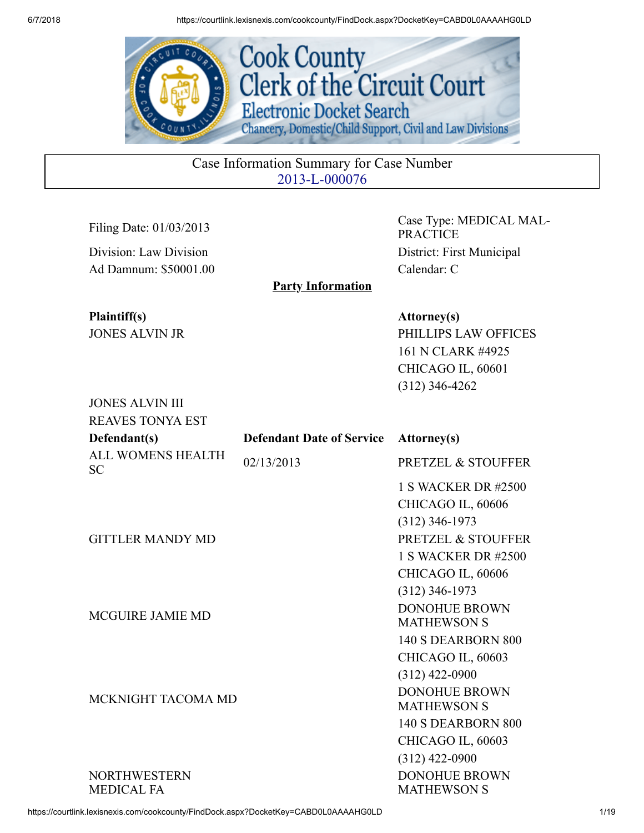

Case Information Summary for Case Number 2013-L-000076

Party Information

Division: Law Division District: First Municipal Ad Damnum: \$50001.00 Calendar: C

JONES ALVIN III

Filing Date: 01/03/2013 Case Type: MEDICAL MAL-PRACTICE

Plaintiff(s) Attorney(s) JONES ALVIN JR PHILLIPS LAW OFFICES 161 N CLARK #4925 CHICAGO IL, 60601 (312) 346-4262

| <b>REAVES TONYA EST</b>               |                                  |                                                                                               |
|---------------------------------------|----------------------------------|-----------------------------------------------------------------------------------------------|
| Defendant(s)                          | <b>Defendant Date of Service</b> | <b>Attorney</b> (s)                                                                           |
| <b>ALL WOMENS HEALTH</b><br><b>SC</b> | 02/13/2013                       | <b>PRETZEL &amp; STOUFFER</b>                                                                 |
| <b>GITTLER MANDY MD</b>               |                                  | 1 S WACKER DR #2500<br>CHICAGO IL, 60606<br>$(312)$ 346-1973<br><b>PRETZEL &amp; STOUFFER</b> |
|                                       |                                  | 1 S WACKER DR #2500<br>CHICAGO IL, 60606<br>$(312)$ 346-1973                                  |
| <b>MCGUIRE JAMIE MD</b>               |                                  | <b>DONOHUE BROWN</b><br><b>MATHEWSON S</b>                                                    |
|                                       |                                  | <b>140 S DEARBORN 800</b><br>CHICAGO IL, 60603<br>$(312)$ 422-0900<br><b>DONOHUE BROWN</b>    |
| MCKNIGHT TACOMA MD                    |                                  | <b>MATHEWSON S</b><br>140 S DEARBORN 800<br>CHICAGO IL, 60603                                 |
| <b>NORTHWESTERN</b><br>MEDICAL FA     |                                  | $(312)$ 422-0900<br><b>DONOHUE BROWN</b><br><b>MATHEWSON S</b>                                |

https://courtlink.lexisnexis.com/cookcounty/FindDock.aspx?DocketKey=CABD0L0AAAAHG0LD 1/19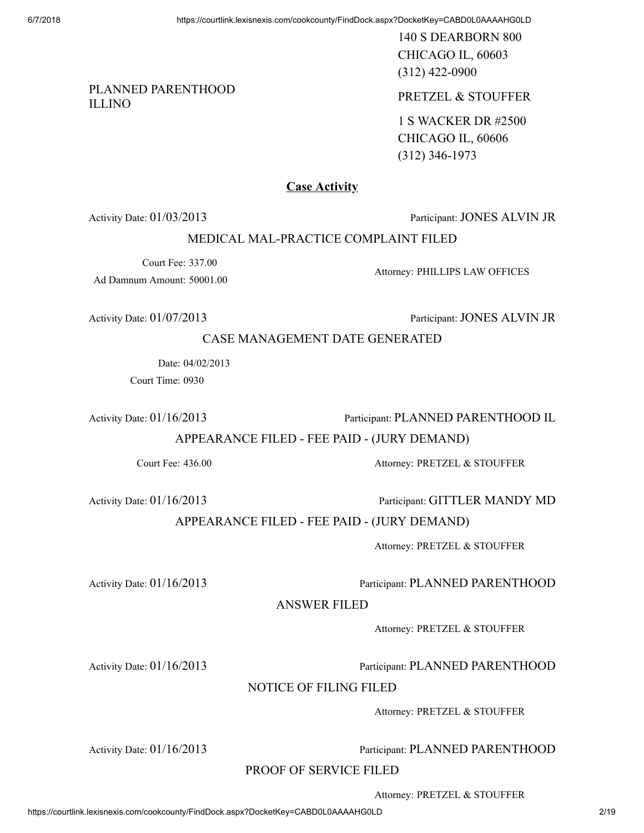140 S DEARBORN 800 CHICAGO IL, 60603 (312) 422-0900

ILLINO PRETZEL & STOUFFER

1 S WACKER DR #2500 CHICAGO IL, 60606 (312) 346-1973

#### **Case Activity**

Activity Date: 01/03/2013 Participant: JONES ALVIN JR

#### MEDICAL MAL-PRACTICE COMPLAINT FILED

Court Fee: 337.00 Ad Damnum Amount: 50001.00

PLANNED PARENTHOOD

Attorney: PHILLIPS LAW OFFICES

Activity Date:  $01/07/2013$  Participant: JONES ALVIN JR

CASE MANAGEMENT DATE GENERATED

Date: 04/02/2013 Court Time: 0930

Activity Date: 01/16/2013 Participant: PLANNED PARENTHOOD IL

APPEARANCE FILED - FEE PAID - (JURY DEMAND)

Court Fee: 436.00 Attorney: PRETZEL & STOUFFER

Activity Date:  $01/16/2013$  Participant: GITTLER MANDY MD

APPEARANCE FILED - FEE PAID - (JURY DEMAND)

Attorney: PRETZEL & STOUFFER

#### Activity Date: 01/16/2013 Participant: PLANNED PARENTHOOD

ANSWER FILED

Attorney: PRETZEL & STOUFFER

Activity Date: 01/16/2013 Participant: PLANNED PARENTHOOD

#### NOTICE OF FILING FILED

Attorney: PRETZEL & STOUFFER

Activity Date: 01/16/2013 Participant: PLANNED PARENTHOOD

PROOF OF SERVICE FILED

Attorney: PRETZEL & STOUFFER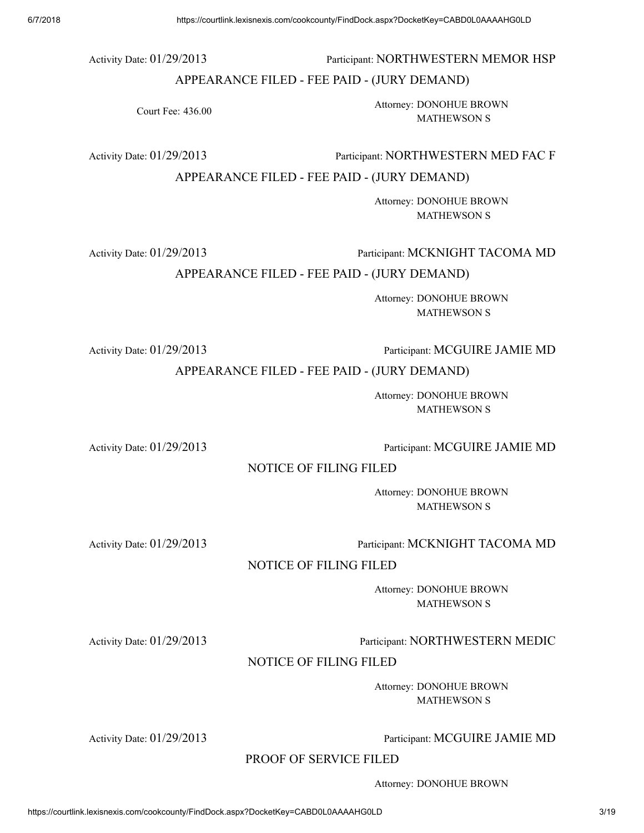#### Activity Date:  $01/29/2013$  Participant: NORTHWESTERN MEMOR HSP

#### APPEARANCE FILED - FEE PAID - (JURY DEMAND)

Court Fee: 436.00

Attorney: DONOHUE BROWN MATHEWSON S

Activity Date: 01/29/2013 Participant: NORTHWESTERN MED FAC F

APPEARANCE FILED - FEE PAID - (JURY DEMAND)

Attorney: DONOHUE BROWN MATHEWSON S

Activity Date: 01/29/2013 Participant: MCKNIGHT TACOMA MD

APPEARANCE FILED - FEE PAID - (JURY DEMAND)

Attorney: DONOHUE BROWN MATHEWSON S

Activity Date: 01/29/2013 Participant: MCGUIRE JAMIE MD

APPEARANCE FILED - FEE PAID - (JURY DEMAND)

Attorney: DONOHUE BROWN MATHEWSON S

Activity Date:  $01/29/2013$  Participant: MCGUIRE JAMIE MD

NOTICE OF FILING FILED

Attorney: DONOHUE BROWN MATHEWSON S

Activity Date:  $01/29/2013$  Participant: MCKNIGHT TACOMA MD

NOTICE OF FILING FILED

Attorney: DONOHUE BROWN MATHEWSON S

Activity Date: 01/29/2013 Participant: NORTHWESTERN MEDIC

NOTICE OF FILING FILED

Attorney: DONOHUE BROWN MATHEWSON S

Activity Date: 01/29/2013 Participant: MCGUIRE JAMIE MD

PROOF OF SERVICE FILED

Attorney: DONOHUE BROWN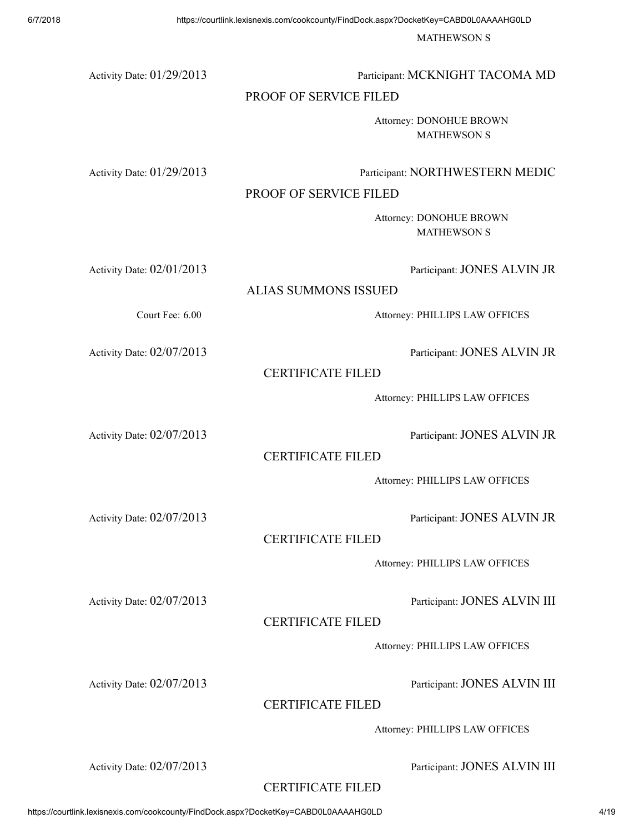MATHEWSON S

| Activity Date: 01/29/2013 | Participant: MCKNIGHT TACOMA MD                            |
|---------------------------|------------------------------------------------------------|
|                           | PROOF OF SERVICE FILED                                     |
|                           | Attorney: DONOHUE BROWN<br><b>MATHEWSON S</b>              |
| Activity Date: 01/29/2013 | Participant: NORTHWESTERN MEDIC<br>PROOF OF SERVICE FILED  |
|                           | Attorney: DONOHUE BROWN<br><b>MATHEWSON S</b>              |
| Activity Date: 02/01/2013 | Participant: JONES ALVIN JR<br><b>ALIAS SUMMONS ISSUED</b> |
|                           |                                                            |
| Court Fee: 6.00           | Attorney: PHILLIPS LAW OFFICES                             |
| Activity Date: 02/07/2013 | Participant: JONES ALVIN JR<br><b>CERTIFICATE FILED</b>    |
|                           | Attorney: PHILLIPS LAW OFFICES                             |
| Activity Date: 02/07/2013 | Participant: JONES ALVIN JR<br><b>CERTIFICATE FILED</b>    |
|                           | Attorney: PHILLIPS LAW OFFICES                             |
| Activity Date: 02/07/2013 | Participant: JONES ALVIN JR<br><b>CERTIFICATE FILED</b>    |
|                           | Attorney: PHILLIPS LAW OFFICES                             |
| Activity Date: 02/07/2013 | Participant: JONES ALVIN III<br><b>CERTIFICATE FILED</b>   |
|                           | Attorney: PHILLIPS LAW OFFICES                             |
| Activity Date: 02/07/2013 | Participant: JONES ALVIN III<br><b>CERTIFICATE FILED</b>   |
|                           | Attornau: DUII I IDC I AW OFFICES                          |

Attorney: PHILLIPS LAW OFFICES

Activity Date:  $02/07/2013$  Participant: JONES ALVIN III

## CERTIFICATE FILED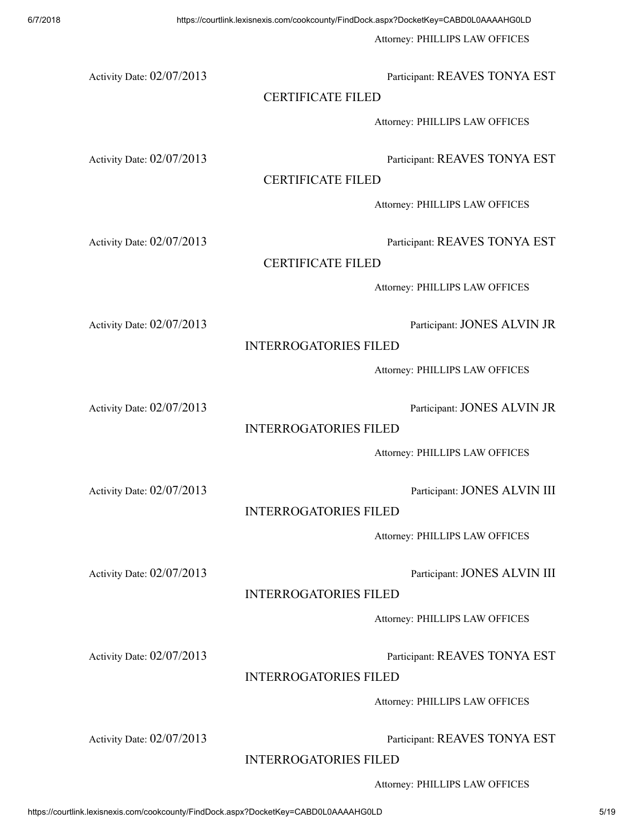Attorney: PHILLIPS LAW OFFICES

Activity Date:  $02/07/2013$  Participant: REAVES TONYA EST

## CERTIFICATE FILED

Attorney: PHILLIPS LAW OFFICES

Activity Date: 02/07/2013 Participant: REAVES TONYA EST

## CERTIFICATE FILED

Attorney: PHILLIPS LAW OFFICES

Activity Date: 02/07/2013 Participant: REAVES TONYA EST

## CERTIFICATE FILED

Attorney: PHILLIPS LAW OFFICES

Activity Date:  $02/07/2013$  Participant: JONES ALVIN JR

## INTERROGATORIES FILED

Attorney: PHILLIPS LAW OFFICES

Activity Date:  $02/07/2013$  Participant: JONES ALVIN JR

## INTERROGATORIES FILED

Attorney: PHILLIPS LAW OFFICES

Activity Date:  $02/07/2013$  Participant: JONES ALVIN III

## INTERROGATORIES FILED

Attorney: PHILLIPS LAW OFFICES

Activity Date:  $02/07/2013$  Participant: JONES ALVIN III

INTERROGATORIES FILED

Attorney: PHILLIPS LAW OFFICES

Activity Date:  $02/07/2013$  Participant: REAVES TONYA EST

## INTERROGATORIES FILED

Attorney: PHILLIPS LAW OFFICES

Activity Date:  $02/07/2013$  Participant: REAVES TONYA EST

INTERROGATORIES FILED

Attorney: PHILLIPS LAW OFFICES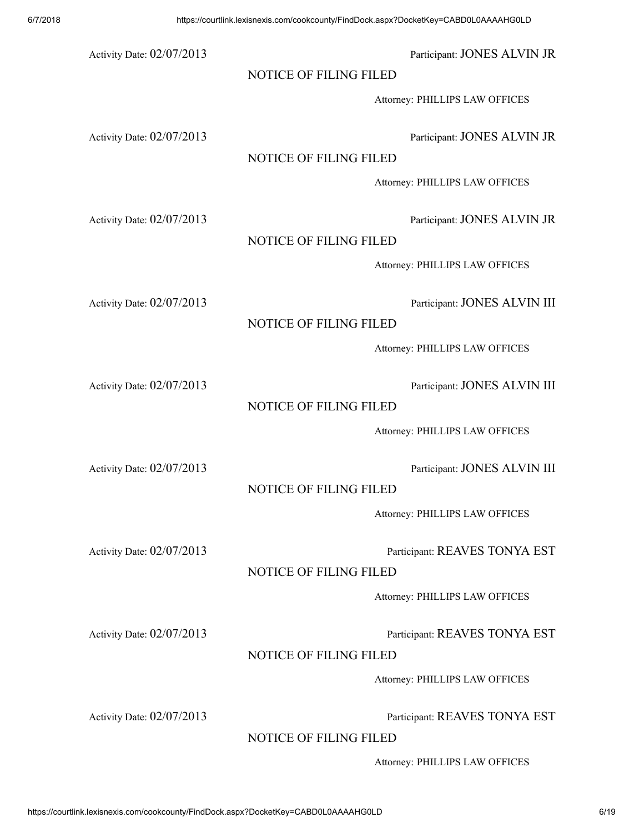6/7/2018 https://courtlink.lexisnexis.com/cookcounty/FindDock.aspx?DocketKey=CABD0L0AAAAHG0LD Activity Date:  $02/07/2013$  Participant: JONES ALVIN JR NOTICE OF FILING FILED Attorney: PHILLIPS LAW OFFICES Activity Date: 02/07/2013 Participant: JONES ALVIN JR NOTICE OF FILING FILED Attorney: PHILLIPS LAW OFFICES Activity Date: 02/07/2013 Participant: JONES ALVIN JR NOTICE OF FILING FILED Attorney: PHILLIPS LAW OFFICES Activity Date:  $02/07/2013$  Participant: JONES ALVIN III NOTICE OF FILING FILED Attorney: PHILLIPS LAW OFFICES Activity Date:  $02/07/2013$  Participant: JONES ALVIN III NOTICE OF FILING FILED Attorney: PHILLIPS LAW OFFICES Activity Date:  $02/07/2013$  Participant: JONES ALVIN III NOTICE OF FILING FILED Attorney: PHILLIPS LAW OFFICES Activity Date: 02/07/2013 Participant: REAVES TONYA EST NOTICE OF FILING FILED

Attorney: PHILLIPS LAW OFFICES

Activity Date: 02/07/2013 Participant: REAVES TONYA EST

#### NOTICE OF FILING FILED

Attorney: PHILLIPS LAW OFFICES

Activity Date: 02/07/2013 Participant: REAVES TONYA EST

NOTICE OF FILING FILED

Attorney: PHILLIPS LAW OFFICES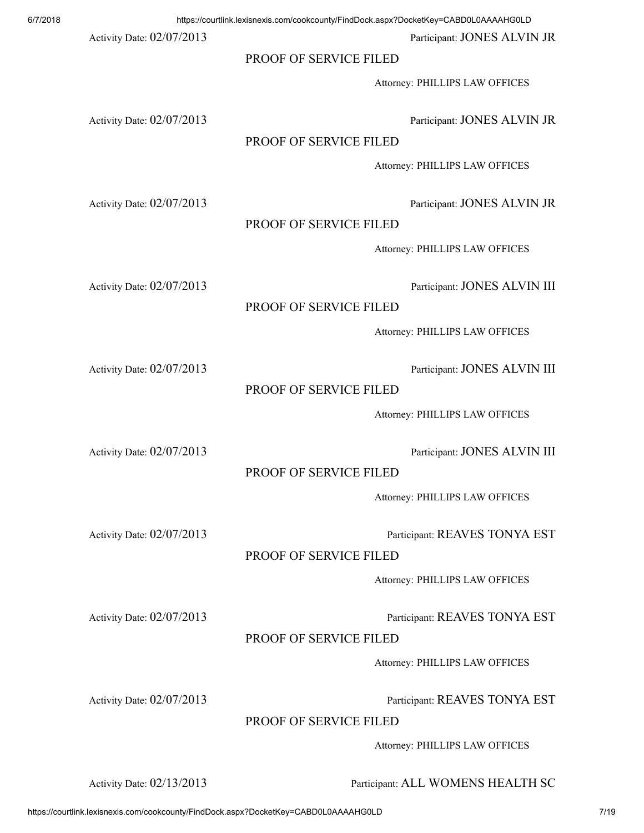| 6/7/2018 |                           | https://courtlink.lexisnexis.com/cookcounty/FindDock.aspx?DocketKey=CABD0L0AAAAHG0LD |
|----------|---------------------------|--------------------------------------------------------------------------------------|
|          | Activity Date: 02/07/2013 | Participant: JONES ALVIN JR                                                          |
|          |                           | PROOF OF SERVICE FILED                                                               |
|          |                           | Attorney: PHILLIPS LAW OFFICES                                                       |
|          | Activity Date: 02/07/2013 | Participant: JONES ALVIN JR<br>PROOF OF SERVICE FILED                                |
|          |                           | Attorney: PHILLIPS LAW OFFICES                                                       |
|          |                           |                                                                                      |
|          | Activity Date: 02/07/2013 | Participant: JONES ALVIN JR<br>PROOF OF SERVICE FILED                                |
|          |                           | Attorney: PHILLIPS LAW OFFICES                                                       |
|          | Activity Date: 02/07/2013 | Participant: JONES ALVIN III                                                         |
|          |                           | PROOF OF SERVICE FILED                                                               |
|          |                           | Attorney: PHILLIPS LAW OFFICES                                                       |
|          | Activity Date: 02/07/2013 | Participant: JONES ALVIN III                                                         |
|          |                           | PROOF OF SERVICE FILED                                                               |
|          |                           | Attorney: PHILLIPS LAW OFFICES                                                       |
|          | Activity Date: 02/07/2013 | Participant: JONES ALVIN III                                                         |
|          |                           | PROOF OF SERVICE FILED                                                               |
|          |                           | Attorney: PHILLIPS LAW OFFICES                                                       |
|          | Activity Date: 02/07/2013 | Participant: REAVES TONYA EST                                                        |
|          |                           | PROOF OF SERVICE FILED                                                               |
|          |                           | Attorney: PHILLIPS LAW OFFICES                                                       |
|          | Activity Date: 02/07/2013 | Participant: REAVES TONYA EST                                                        |
|          |                           | PROOF OF SERVICE FILED                                                               |
|          |                           | Attorney: PHILLIPS LAW OFFICES                                                       |
|          |                           |                                                                                      |

Activity Date: 02/07/2013 Participant: REAVES TONYA EST

PROOF OF SERVICE FILED

Attorney: PHILLIPS LAW OFFICES

Activity Date: 02/13/2013 Participant: ALL WOMENS HEALTH SC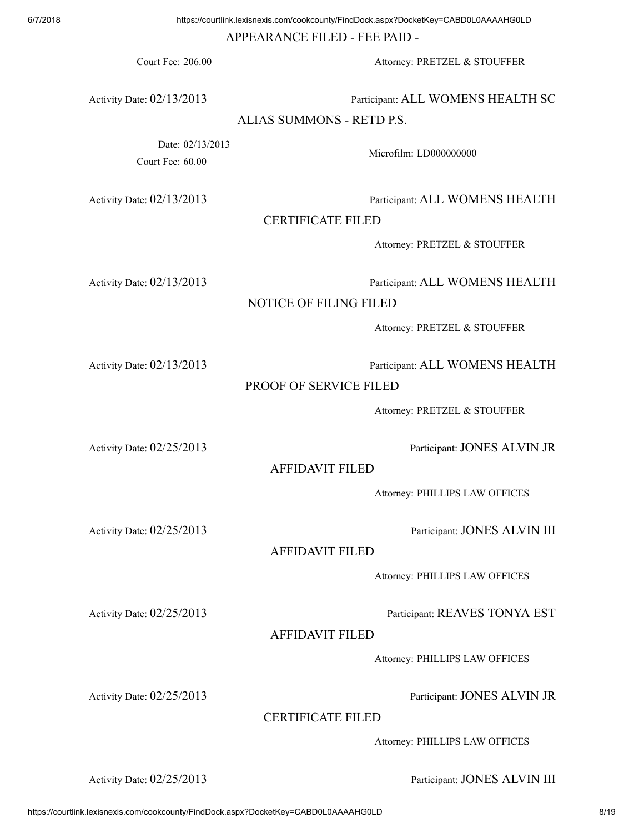APPEARANCE FILED - FEE PAID -

Court Fee: 206.00 Attorney: PRETZEL & STOUFFER

Activity Date: 02/13/2013 Participant: ALL WOMENS HEALTH SC

#### ALIAS SUMMONS - RETD P.S.

Date: 02/13/2013 Court Fee: 60.00

Microfilm: LD000000000

Activity Date: 02/13/2013 Participant: ALL WOMENS HEALTH

CERTIFICATE FILED

Attorney: PRETZEL & STOUFFER

Activity Date: 02/13/2013 Participant: ALL WOMENS HEALTH

NOTICE OF FILING FILED

Attorney: PRETZEL & STOUFFER

Activity Date: 02/13/2013 Participant: ALL WOMENS HEALTH

PROOF OF SERVICE FILED

Attorney: PRETZEL & STOUFFER

Activity Date:  $02/25/2013$  Participant: JONES ALVIN JR

AFFIDAVIT FILED

Attorney: PHILLIPS LAW OFFICES

Activity Date: 02/25/2013 Participant: JONES ALVIN III

AFFIDAVIT FILED

Attorney: PHILLIPS LAW OFFICES

Activity Date:  $02/25/2013$  Participant: REAVES TONYA EST

AFFIDAVIT FILED

Attorney: PHILLIPS LAW OFFICES

Activity Date:  $02/25/2013$  Participant: JONES ALVIN JR

CERTIFICATE FILED

Attorney: PHILLIPS LAW OFFICES

Activity Date:  $02/25/2013$  Participant: JONES ALVIN III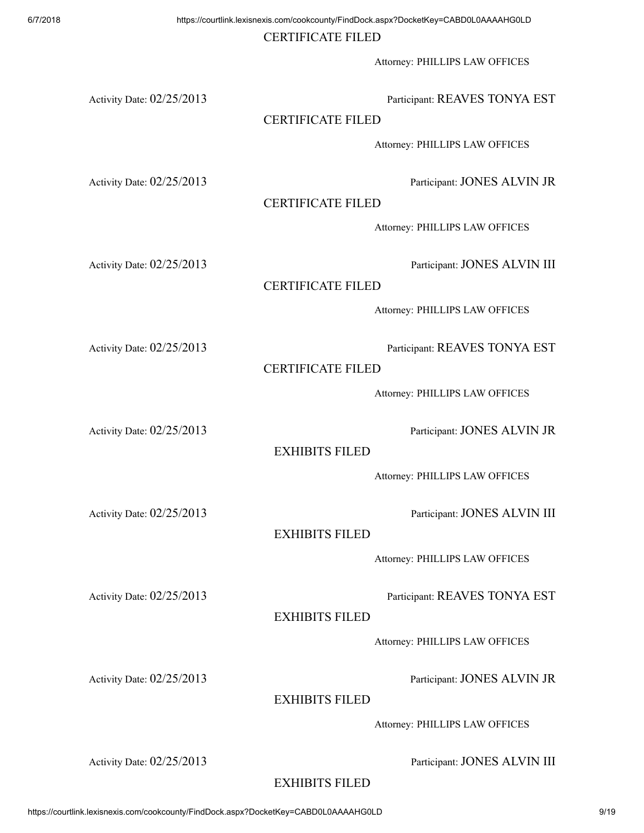### CERTIFICATE FILED

Attorney: PHILLIPS LAW OFFICES

Activity Date: 02/25/2013 Participant: REAVES TONYA EST

## CERTIFICATE FILED

Attorney: PHILLIPS LAW OFFICES

Activity Date:  $02/25/2013$  Participant: JONES ALVIN JR

CERTIFICATE FILED

Attorney: PHILLIPS LAW OFFICES

Activity Date: 02/25/2013 Participant: JONES ALVIN III

## CERTIFICATE FILED

Attorney: PHILLIPS LAW OFFICES

Activity Date:  $02/25/2013$  Participant: REAVES TONYA EST

CERTIFICATE FILED

Attorney: PHILLIPS LAW OFFICES

Activity Date:  $02/25/2013$  Participant: JONES ALVIN JR

EXHIBITS FILED

Attorney: PHILLIPS LAW OFFICES

Activity Date:  $02/25/2013$  Participant: JONES ALVIN III

## EXHIBITS FILED

Attorney: PHILLIPS LAW OFFICES

Activity Date: 02/25/2013 Participant: REAVES TONYA EST

EXHIBITS FILED

Attorney: PHILLIPS LAW OFFICES

Activity Date:  $02/25/2013$  Participant: JONES ALVIN JR

EXHIBITS FILED

Attorney: PHILLIPS LAW OFFICES

Activity Date:  $02/25/2013$  Participant: JONES ALVIN III

## EXHIBITS FILED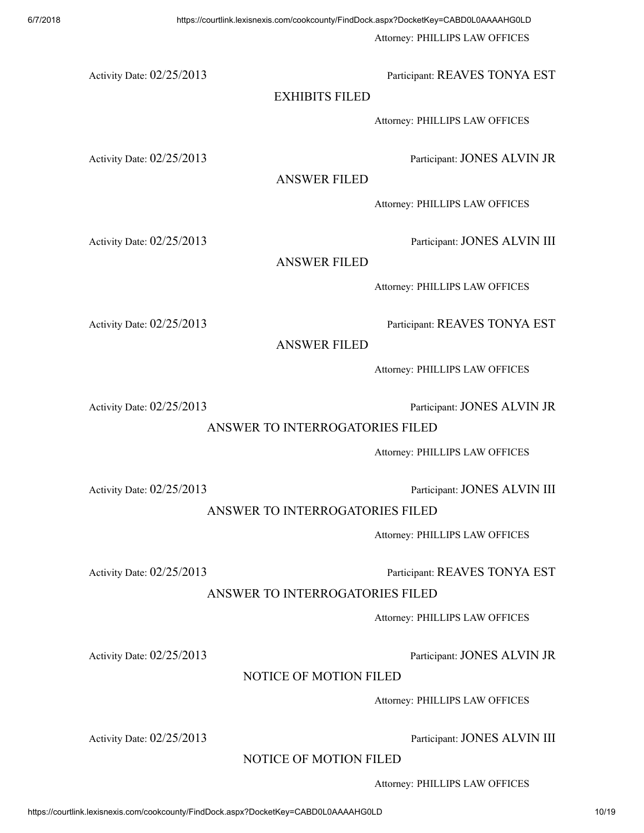Attorney: PHILLIPS LAW OFFICES

Activity Date:  $02/25/2013$  Participant: REAVES TONYA EST

## EXHIBITS FILED

Attorney: PHILLIPS LAW OFFICES

Activity Date:  $02/25/2013$  Participant: JONES ALVIN JR

ANSWER FILED

Attorney: PHILLIPS LAW OFFICES

Activity Date: 02/25/2013 Participant: JONES ALVIN III

ANSWER FILED

Attorney: PHILLIPS LAW OFFICES

Activity Date: 02/25/2013 Participant: REAVES TONYA EST

ANSWER FILED

Attorney: PHILLIPS LAW OFFICES

Activity Date:  $02/25/2013$  Participant: JONES ALVIN JR

ANSWER TO INTERROGATORIES FILED

Attorney: PHILLIPS LAW OFFICES

Activity Date:  $02/25/2013$  Participant: JONES ALVIN III

ANSWER TO INTERROGATORIES FILED

Attorney: PHILLIPS LAW OFFICES

Activity Date: 02/25/2013 Participant: REAVES TONYA EST

ANSWER TO INTERROGATORIES FILED

Attorney: PHILLIPS LAW OFFICES

Activity Date:  $02/25/2013$  Participant: JONES ALVIN JR

## NOTICE OF MOTION FILED

Attorney: PHILLIPS LAW OFFICES

Attorney: PHILLIPS LAW OFFICES

Activity Date:  $02/25/2013$  Participant: JONES ALVIN III

NOTICE OF MOTION FILED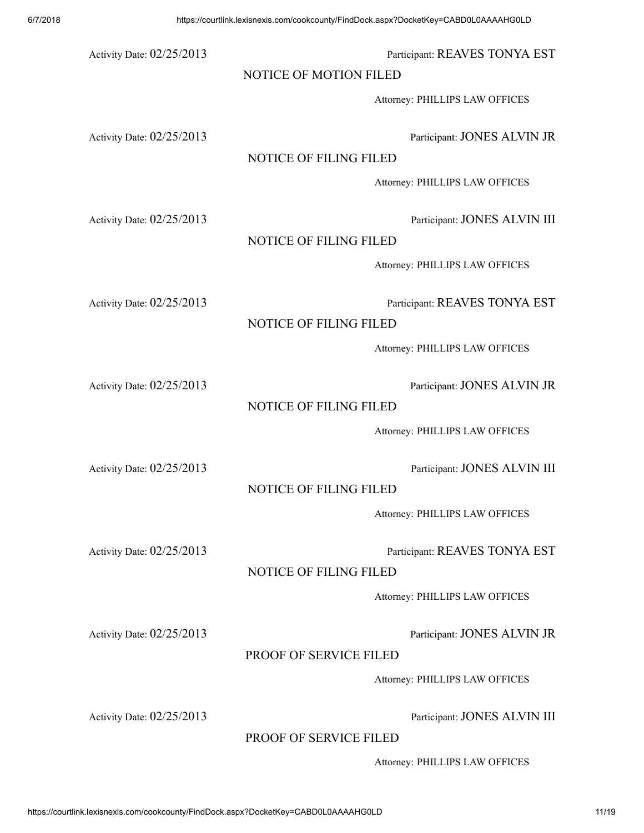# 6/7/2018 https://courtlink.lexisnexis.com/cookcounty/FindDock.aspx?DocketKey=CABD0L0AAAAHG0LD Activity Date:  $02/25/2013$  Participant: REAVES TONYA EST NOTICE OF MOTION FILED Attorney: PHILLIPS LAW OFFICES Activity Date:  $02/25/2013$  Participant: JONES ALVIN JR NOTICE OF FILING FILED Attorney: PHILLIPS LAW OFFICES Activity Date:  $02/25/2013$  Participant: JONES ALVIN III NOTICE OF FILING FILED Attorney: PHILLIPS LAW OFFICES Activity Date:  $02/25/2013$  Participant: REAVES TONYA EST NOTICE OF FILING FILED Attorney: PHILLIPS LAW OFFICES Activity Date:  $02/25/2013$  Participant: JONES ALVIN JR NOTICE OF FILING FILED Attorney: PHILLIPS LAW OFFICES Activity Date:  $02/25/2013$  Participant: JONES ALVIN III NOTICE OF FILING FILED Attorney: PHILLIPS LAW OFFICES Activity Date: 02/25/2013 Participant: REAVES TONYA EST NOTICE OF FILING FILED Attorney: PHILLIPS LAW OFFICES

Activity Date:  $02/25/2013$  Participant: JONES ALVIN JR

## PROOF OF SERVICE FILED

#### Attorney: PHILLIPS LAW OFFICES

Activity Date:  $02/25/2013$  Participant: JONES ALVIN III

PROOF OF SERVICE FILED

Attorney: PHILLIPS LAW OFFICES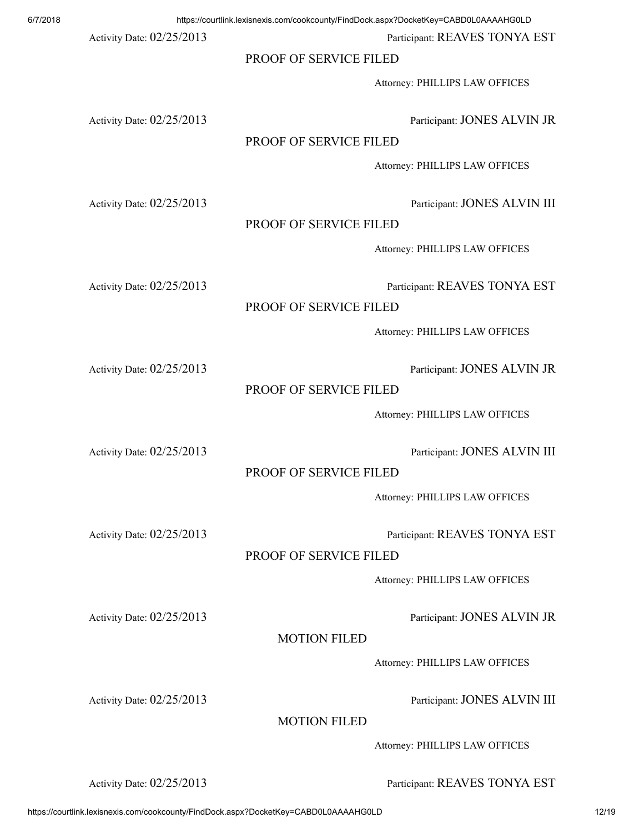Activity Date:  $02/25/2013$  Participant: REAVES TONYA EST

#### PROOF OF SERVICE FILED

Attorney: PHILLIPS LAW OFFICES

Activity Date:  $02/25/2013$  Participant: JONES ALVIN JR

#### PROOF OF SERVICE FILED

Attorney: PHILLIPS LAW OFFICES

Activity Date:  $02/25/2013$  Participant: JONES ALVIN III

#### PROOF OF SERVICE FILED

Attorney: PHILLIPS LAW OFFICES

Activity Date: 02/25/2013 Participant: REAVES TONYA EST

#### PROOF OF SERVICE FILED

Attorney: PHILLIPS LAW OFFICES

Activity Date:  $02/25/2013$  Participant: JONES ALVIN JR

#### PROOF OF SERVICE FILED

Attorney: PHILLIPS LAW OFFICES

PROOF OF SERVICE FILED

Attorney: PHILLIPS LAW OFFICES

Activity Date:  $02/25/2013$  Participant: REAVES TONYA EST

PROOF OF SERVICE FILED

Attorney: PHILLIPS LAW OFFICES

Activity Date: 02/25/2013 Participant: JONES ALVIN JR

MOTION FILED

Attorney: PHILLIPS LAW OFFICES

Activity Date:  $02/25/2013$  Participant: JONES ALVIN III

MOTION FILED

Attorney: PHILLIPS LAW OFFICES

Activity Date:  $02/25/2013$  Participant: REAVES TONYA EST

Activity Date:  $02/25/2013$  Participant: JONES ALVIN III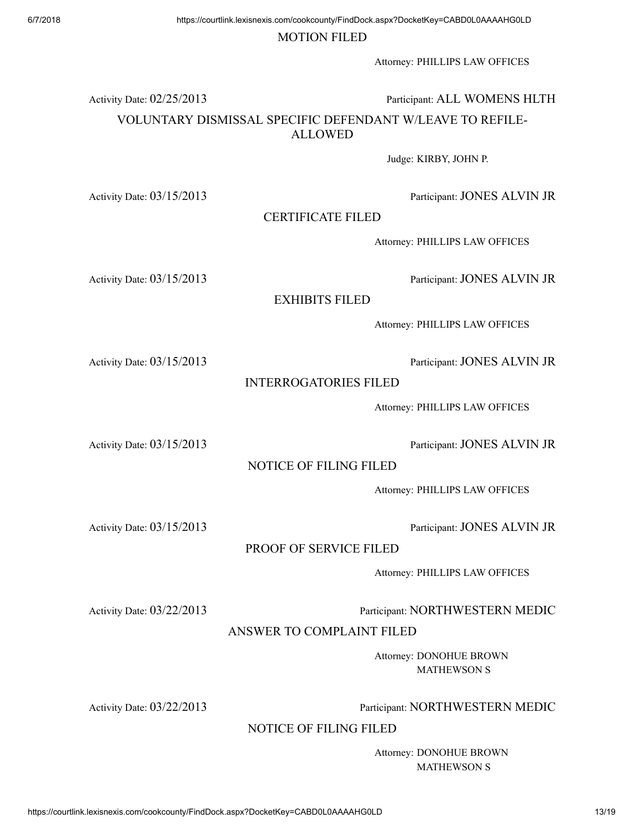#### MOTION FILED

Attorney: PHILLIPS LAW OFFICES

Activity Date:  $02/25/2013$  Participant: ALL WOMENS HLTH

## VOLUNTARY DISMISSAL SPECIFIC DEFENDANT W/LEAVE TO REFILE-ALLOWED

Judge: KIRBY, JOHN P.

Activity Date: 03/15/2013 Participant: JONES ALVIN JR

CERTIFICATE FILED

Attorney: PHILLIPS LAW OFFICES

Activity Date:  $03/15/2013$  Participant: JONES ALVIN JR

EXHIBITS FILED

Attorney: PHILLIPS LAW OFFICES

Activity Date: 03/15/2013 Participant: JONES ALVIN JR

#### INTERROGATORIES FILED

Attorney: PHILLIPS LAW OFFICES

Activity Date: 03/15/2013 Participant: JONES ALVIN JR

### NOTICE OF FILING FILED

Attorney: PHILLIPS LAW OFFICES

Activity Date:  $03/15/2013$  Participant: JONES ALVIN JR

### PROOF OF SERVICE FILED

Attorney: PHILLIPS LAW OFFICES

Activity Date: 03/22/2013 Participant: NORTHWESTERN MEDIC

ANSWER TO COMPLAINT FILED

Attorney: DONOHUE BROWN MATHEWSON S

Activity Date: 03/22/2013 Participant: NORTHWESTERN MEDIC

NOTICE OF FILING FILED

Attorney: DONOHUE BROWN MATHEWSON S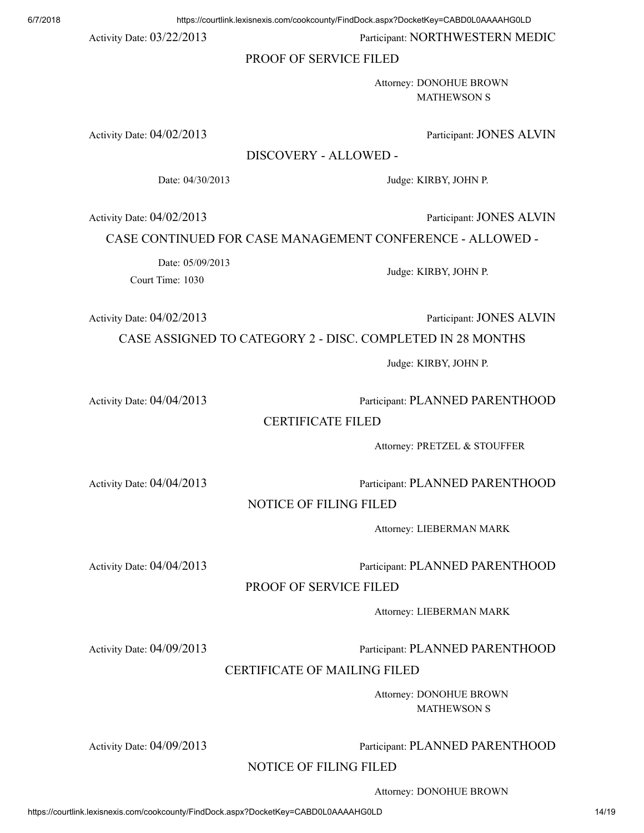Activity Date:  $03/22/2013$  Participant: NORTHWESTERN MEDIC

#### PROOF OF SERVICE FILED

Attorney: DONOHUE BROWN MATHEWSON S

Activity Date:  $04/02/2013$  Participant: JONES ALVIN

DISCOVERY - ALLOWED -

Date: 04/30/2013 Judge: KIRBY, JOHN P.

Activity Date: 04/02/2013 Participant: JONES ALVIN

CASE CONTINUED FOR CASE MANAGEMENT CONFERENCE - ALLOWED -

Date: 05/09/2013

Court Time: 1030

Activity Date: 04/02/2013 Participant: JONES ALVIN

CASE ASSIGNED TO CATEGORY 2 - DISC. COMPLETED IN 28 MONTHS

Judge: KIRBY, JOHN P.

Judge: KIRBY, JOHN P.

Activity Date: 04/04/2013 Participant: PLANNED PARENTHOOD

#### CERTIFICATE FILED

Attorney: PRETZEL & STOUFFER

Activity Date: 04/04/2013 Participant: PLANNED PARENTHOOD

#### NOTICE OF FILING FILED

Attorney: LIEBERMAN MARK

#### Activity Date: 04/04/2013 Participant: PLANNED PARENTHOOD

#### PROOF OF SERVICE FILED

Attorney: LIEBERMAN MARK

Activity Date: 04/09/2013 Participant: PLANNED PARENTHOOD

#### CERTIFICATE OF MAILING FILED

Attorney: DONOHUE BROWN MATHEWSON S

Activity Date: 04/09/2013 Participant: PLANNED PARENTHOOD

NOTICE OF FILING FILED

Attorney: DONOHUE BROWN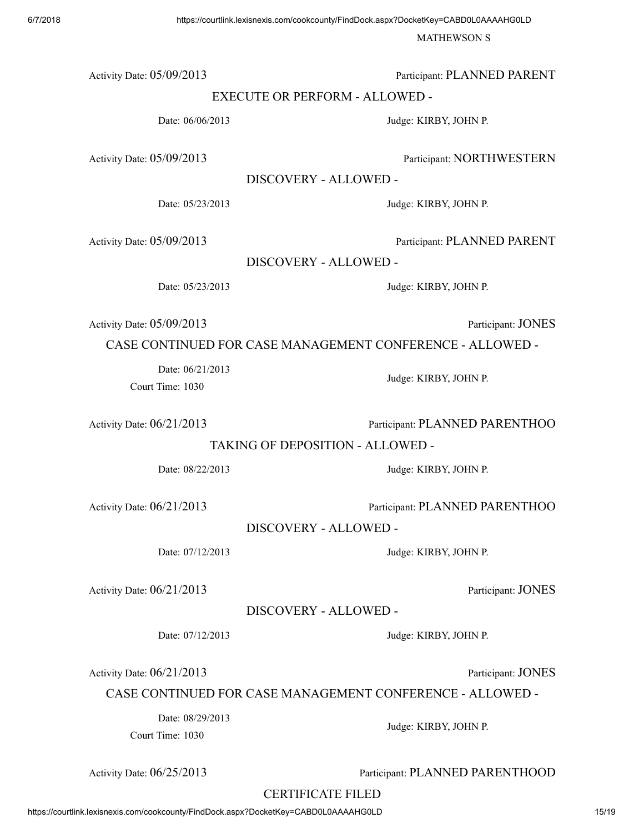MATHEWSON S

Activity Date: 05/09/2013 Participant: PLANNED PARENT

EXECUTE OR PERFORM - ALLOWED -

Date: 06/06/2013 Judge: KIRBY, JOHN P.

Activity Date: 05/09/2013 Participant: NORTHWESTERN

DISCOVERY - ALLOWED -

Date: 05/23/2013 Judge: KIRBY, JOHN P.

Activity Date:  $05/09/2013$  Participant: PLANNED PARENT

DISCOVERY - ALLOWED -

Date: 05/23/2013 Judge: KIRBY, JOHN P.

Activity Date:  $05/09/2013$  Participant: JONES

CASE CONTINUED FOR CASE MANAGEMENT CONFERENCE - ALLOWED -

Date: 06/21/2013

Court Time: 1030

Activity Date:  $06/21/2013$  Participant: PLANNED PARENTHOO

Judge: KIRBY, JOHN P.

TAKING OF DEPOSITION - ALLOWED -

Date: 08/22/2013 Judge: KIRBY, JOHN P.

Activity Date:  $06/21/2013$  Participant: PLANNED PARENTHOO

Activity Date:  $06/21/2013$  Participant: JONES

DISCOVERY - ALLOWED -

Activity Date:  $06/21/2013$  Participant: JONES

CASE CONTINUED FOR CASE MANAGEMENT CONFERENCE - ALLOWED -

Date: 08/29/2013

Court Time: 1030

Activity Date:  $06/25/2013$  Participant: PLANNED PARENTHOOD

CERTIFICATE FILED

DISCOVERY - ALLOWED -

Date: 07/12/2013 Judge: KIRBY, JOHN P.

Date: 07/12/2013 Judge: KIRBY, JOHN P.

Judge: KIRBY, JOHN P.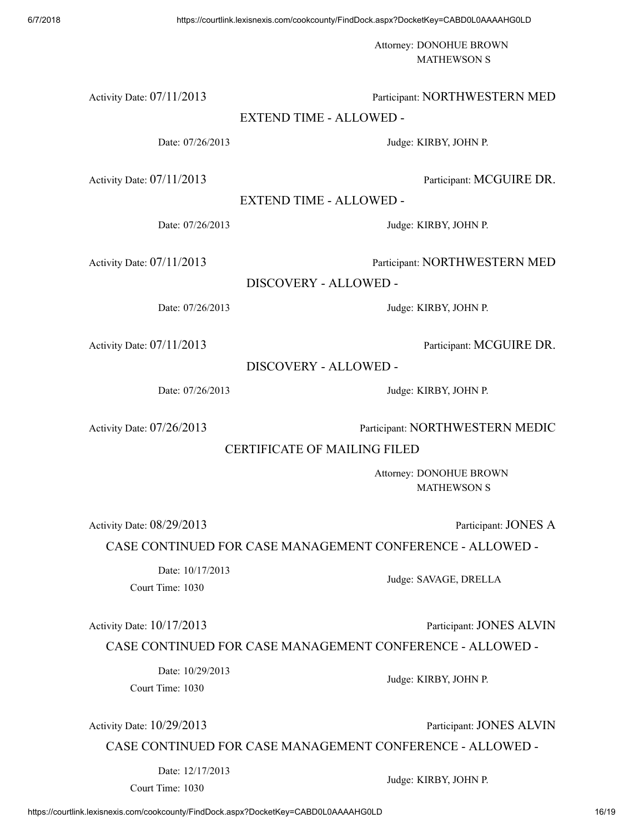Attorney: DONOHUE BROWN MATHEWSON S

#### Activity Date: 07/11/2013 Participant: NORTHWESTERN MED

#### EXTEND TIME - ALLOWED -

Date: 07/26/2013 Judge: KIRBY, JOHN P.

Activity Date:  $07/11/2013$  Participant: MCGUIRE DR.

EXTEND TIME - ALLOWED -

Date: 07/26/2013 Judge: KIRBY, JOHN P.

Activity Date: 07/11/2013 Participant: NORTHWESTERN MED

DISCOVERY - ALLOWED -

Date: 07/26/2013 Judge: KIRBY, JOHN P.

Activity Date: 07/11/2013 Participant: MCGUIRE DR.

DISCOVERY - ALLOWED -

Date: 07/26/2013 Judge: KIRBY, JOHN P.

Activity Date:  $07/26/2013$  Participant: NORTHWESTERN MEDIC

CERTIFICATE OF MAILING FILED

Attorney: DONOHUE BROWN MATHEWSON S

Activity Date:  $08/29/2013$  Participant: JONES A

CASE CONTINUED FOR CASE MANAGEMENT CONFERENCE - ALLOWED -

Date: 10/17/2013 Court Time: 1030

Judge: SAVAGE, DRELLA

Activity Date:  $10/17/2013$  Participant: JONES ALVIN

#### CASE CONTINUED FOR CASE MANAGEMENT CONFERENCE - ALLOWED -

Date: 10/29/2013 Court Time: 1030

Activity Date:  $10/29/2013$  Participant: JONES ALVIN

CASE CONTINUED FOR CASE MANAGEMENT CONFERENCE - ALLOWED -

Date: 12/17/2013

Court Time: 1030

Judge: KIRBY, JOHN P.

Judge: KIRBY, JOHN P.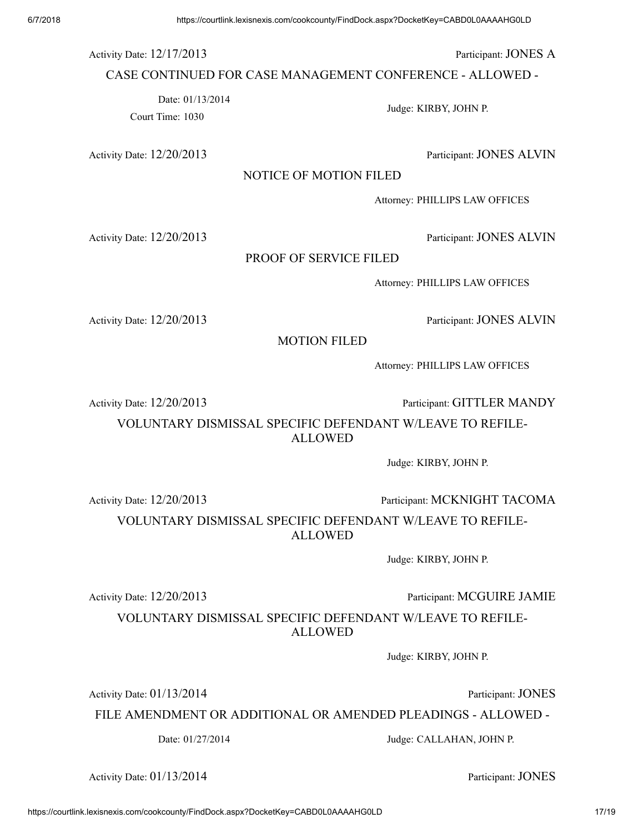Activity Date:  $12/17/2013$  Participant: JONES A

CASE CONTINUED FOR CASE MANAGEMENT CONFERENCE - ALLOWED -

Date: 01/13/2014

Court Time: 1030

Activity Date:  $12/20/2013$  Participant: JONES ALVIN

NOTICE OF MOTION FILED

Attorney: PHILLIPS LAW OFFICES

Judge: KIRBY, JOHN P.

Activity Date:  $12/20/2013$  Participant: JONES ALVIN

#### PROOF OF SERVICE FILED

Attorney: PHILLIPS LAW OFFICES

Activity Date:  $12/20/2013$  Participant: JONES ALVIN

MOTION FILED

Attorney: PHILLIPS LAW OFFICES

Activity Date:  $12/20/2013$  Participant: GITTLER MANDY

VOLUNTARY DISMISSAL SPECIFIC DEFENDANT W/LEAVE TO REFILE-ALLOWED

Judge: KIRBY, JOHN P.

Activity Date:  $12/20/2013$  Participant: MCKNIGHT TACOMA

VOLUNTARY DISMISSAL SPECIFIC DEFENDANT W/LEAVE TO REFILE-ALLOWED

Judge: KIRBY, JOHN P.

Activity Date:  $12/20/2013$  Participant: MCGUIRE JAMIE

VOLUNTARY DISMISSAL SPECIFIC DEFENDANT W/LEAVE TO REFILE-ALLOWED

Judge: KIRBY, JOHN P.

Activity Date:  $01/13/2014$  Participant: JONES

FILE AMENDMENT OR ADDITIONAL OR AMENDED PLEADINGS - ALLOWED -

Date: 01/27/2014 Judge: CALLAHAN, JOHN P.

Activity Date:  $01/13/2014$  Participant: JONES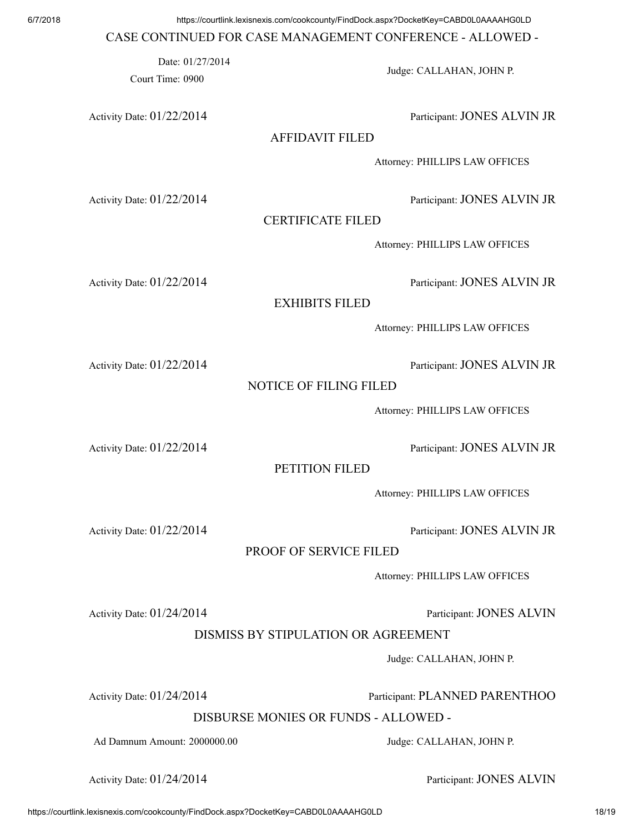#### CASE CONTINUED FOR CASE MANAGEMENT CONFERENCE - ALLOWED -

Court Time: 0900

Date: 01/27/2014

Activity Date:  $01/22/2014$  Participant: JONES ALVIN JR

## AFFIDAVIT FILED

Attorney: PHILLIPS LAW OFFICES

Judge: CALLAHAN, JOHN P.

Activity Date:  $01/22/2014$  Participant: JONES ALVIN JR

CERTIFICATE FILED

Attorney: PHILLIPS LAW OFFICES

Activity Date: 01/22/2014 Participant: JONES ALVIN JR

EXHIBITS FILED

Attorney: PHILLIPS LAW OFFICES

Activity Date:  $01/22/2014$  Participant: JONES ALVIN JR

### NOTICE OF FILING FILED

Attorney: PHILLIPS LAW OFFICES

Activity Date:  $01/22/2014$  Participant: JONES ALVIN JR

## PETITION FILED

Attorney: PHILLIPS LAW OFFICES

Activity Date: 01/22/2014 Participant: JONES ALVIN JR

## PROOF OF SERVICE FILED

Attorney: PHILLIPS LAW OFFICES

DISMISS BY STIPULATION OR AGREEMENT

Judge: CALLAHAN, JOHN P.

Activity Date:  $01/24/2014$  Participant: PLANNED PARENTHOO

DISBURSE MONIES OR FUNDS - ALLOWED -

Ad Damnum Amount: 2000000.00 Judge: CALLAHAN, JOHN P.

Activity Date: 01/24/2014 **Participant: JONES ALVIN** 

Activity Date:  $01/24/2014$  Participant: JONES ALVIN